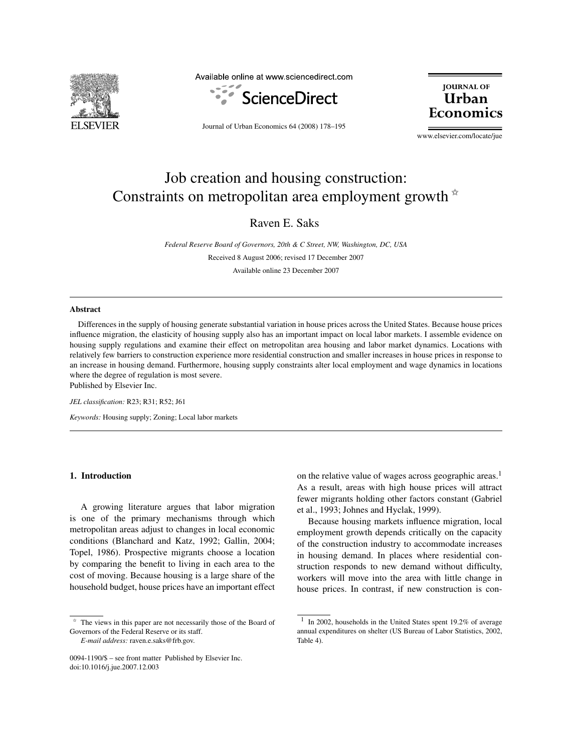

Available online at www.sciencedirect.com



Journal of Urban Economics 64 (2008) 178–195

**JOURNAL OF IIrhan** Economi

www.elsevier.com/locate/jue

## Job creation and housing construction: Constraints on metropolitan area employment growth  $*$

Raven E. Saks

*Federal Reserve Board of Governors, 20th & C Street, NW, Washington, DC, USA* Received 8 August 2006; revised 17 December 2007

Available online 23 December 2007

#### **Abstract**

Differences in the supply of housing generate substantial variation in house prices across the United States. Because house prices influence migration, the elasticity of housing supply also has an important impact on local labor markets. I assemble evidence on housing supply regulations and examine their effect on metropolitan area housing and labor market dynamics. Locations with relatively few barriers to construction experience more residential construction and smaller increases in house prices in response to an increase in housing demand. Furthermore, housing supply constraints alter local employment and wage dynamics in locations where the degree of regulation is most severe. Published by Elsevier Inc.

*JEL classification:* R23; R31; R52; J61

*Keywords:* Housing supply; Zoning; Local labor markets

#### **1. Introduction**

A growing literature argues that labor migration is one of the primary mechanisms through which metropolitan areas adjust to changes in local economic conditions (Blanchard and Katz, 1992; Gallin, 2004; Topel, 1986). Prospective migrants choose a location by comparing the benefit to living in each area to the cost of moving. Because housing is a large share of the household budget, house prices have an important effect

*E-mail address:* raven.e.saks@frb.gov.

on the relative value of wages across geographic areas.<sup>1</sup> As a result, areas with high house prices will attract fewer migrants holding other factors constant (Gabriel et al., 1993; Johnes and Hyclak, 1999).

Because housing markets influence migration, local employment growth depends critically on the capacity of the construction industry to accommodate increases in housing demand. In places where residential construction responds to new demand without difficulty, workers will move into the area with little change in house prices. In contrast, if new construction is con-

The views in this paper are not necessarily those of the Board of Governors of the Federal Reserve or its staff.

<sup>0094-1190/\$ –</sup> see front matter Published by Elsevier Inc. doi:10.1016/j.jue.2007.12.003

<sup>&</sup>lt;sup>1</sup> In 2002, households in the United States spent 19.2% of average annual expenditures on shelter (US Bureau of Labor Statistics, 2002, Table 4).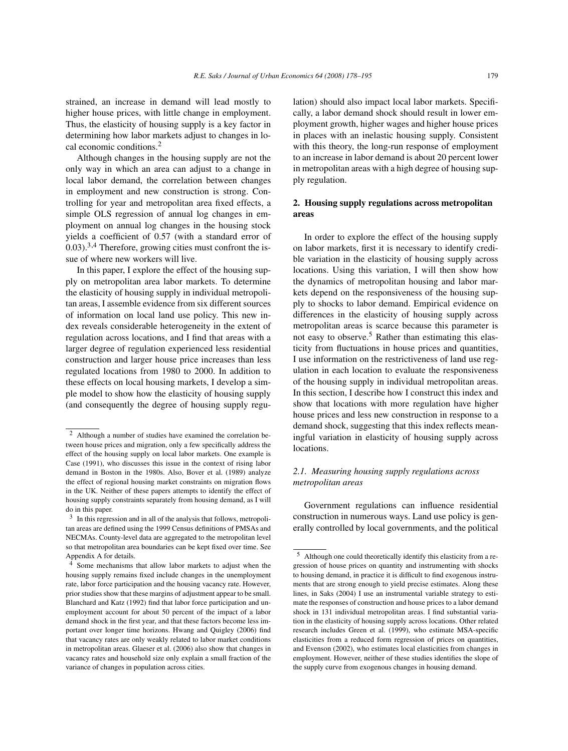strained, an increase in demand will lead mostly to higher house prices, with little change in employment. Thus, the elasticity of housing supply is a key factor in determining how labor markets adjust to changes in local economic conditions.<sup>2</sup>

Although changes in the housing supply are not the only way in which an area can adjust to a change in local labor demand, the correlation between changes in employment and new construction is strong. Controlling for year and metropolitan area fixed effects, a simple OLS regression of annual log changes in employment on annual log changes in the housing stock yields a coefficient of 0.57 (with a standard error of  $(0.03)$ <sup>3,4</sup> Therefore, growing cities must confront the issue of where new workers will live.

In this paper, I explore the effect of the housing supply on metropolitan area labor markets. To determine the elasticity of housing supply in individual metropolitan areas, I assemble evidence from six different sources of information on local land use policy. This new index reveals considerable heterogeneity in the extent of regulation across locations, and I find that areas with a larger degree of regulation experienced less residential construction and larger house price increases than less regulated locations from 1980 to 2000. In addition to these effects on local housing markets, I develop a simple model to show how the elasticity of housing supply (and consequently the degree of housing supply regulation) should also impact local labor markets. Specifically, a labor demand shock should result in lower employment growth, higher wages and higher house prices in places with an inelastic housing supply. Consistent with this theory, the long-run response of employment to an increase in labor demand is about 20 percent lower in metropolitan areas with a high degree of housing supply regulation.

#### **2. Housing supply regulations across metropolitan areas**

In order to explore the effect of the housing supply on labor markets, first it is necessary to identify credible variation in the elasticity of housing supply across locations. Using this variation, I will then show how the dynamics of metropolitan housing and labor markets depend on the responsiveness of the housing supply to shocks to labor demand. Empirical evidence on differences in the elasticity of housing supply across metropolitan areas is scarce because this parameter is not easy to observe.<sup>5</sup> Rather than estimating this elasticity from fluctuations in house prices and quantities, I use information on the restrictiveness of land use regulation in each location to evaluate the responsiveness of the housing supply in individual metropolitan areas. In this section, I describe how I construct this index and show that locations with more regulation have higher house prices and less new construction in response to a demand shock, suggesting that this index reflects meaningful variation in elasticity of housing supply across locations.

### *2.1. Measuring housing supply regulations across metropolitan areas*

Government regulations can influence residential construction in numerous ways. Land use policy is generally controlled by local governments, and the political

<sup>2</sup> Although a number of studies have examined the correlation between house prices and migration, only a few specifically address the effect of the housing supply on local labor markets. One example is Case (1991), who discusses this issue in the context of rising labor demand in Boston in the 1980s. Also, Bover et al. (1989) analyze the effect of regional housing market constraints on migration flows in the UK. Neither of these papers attempts to identify the effect of housing supply constraints separately from housing demand, as I will do in this paper.

<sup>&</sup>lt;sup>3</sup> In this regression and in all of the analysis that follows, metropolitan areas are defined using the 1999 Census definitions of PMSAs and NECMAs. County-level data are aggregated to the metropolitan level so that metropolitan area boundaries can be kept fixed over time. See Appendix A for details.

Some mechanisms that allow labor markets to adjust when the housing supply remains fixed include changes in the unemployment rate, labor force participation and the housing vacancy rate. However, prior studies show that these margins of adjustment appear to be small. Blanchard and Katz (1992) find that labor force participation and unemployment account for about 50 percent of the impact of a labor demand shock in the first year, and that these factors become less important over longer time horizons. Hwang and Quigley (2006) find that vacancy rates are only weakly related to labor market conditions in metropolitan areas. Glaeser et al. (2006) also show that changes in vacancy rates and household size only explain a small fraction of the variance of changes in population across cities.

<sup>5</sup> Although one could theoretically identify this elasticity from a regression of house prices on quantity and instrumenting with shocks to housing demand, in practice it is difficult to find exogenous instruments that are strong enough to yield precise estimates. Along these lines, in Saks (2004) I use an instrumental variable strategy to estimate the responses of construction and house prices to a labor demand shock in 131 individual metropolitan areas. I find substantial variation in the elasticity of housing supply across locations. Other related research includes Green et al. (1999), who estimate MSA-specific elasticities from a reduced form regression of prices on quantities, and Evenson (2002), who estimates local elasticities from changes in employment. However, neither of these studies identifies the slope of the supply curve from exogenous changes in housing demand.